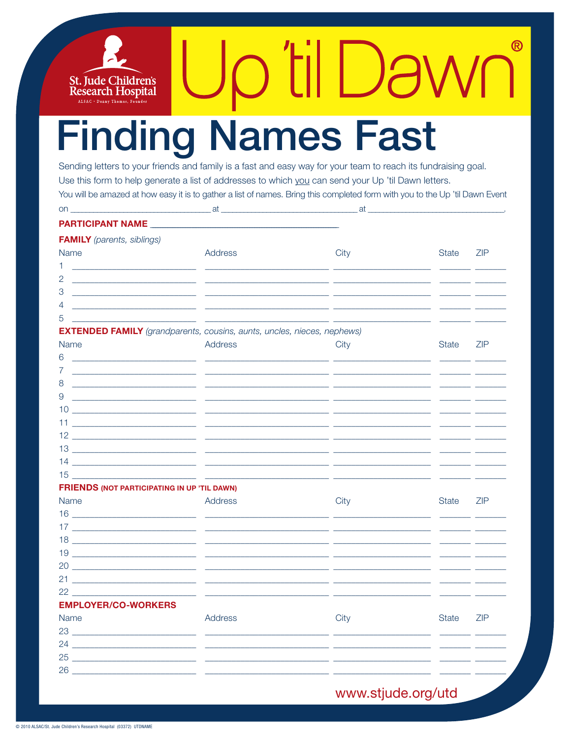# **Finding Names Fast**

St. Jude Children's<br>Research Hospital ALSAC · Danny Thomas, Fo

Sending letters to your friends and family is a fast and easy way for your team to reach its fundraising goal. Use this form to help generate a list of addresses to which you can send your Up 'til Dawn letters. You will be amazed at how easy it is to gather a list of names. Bring this completed form with you to the Up 'til Dawn Event

 $\bigcup$ 

|                                                                                                                            |                                                                                                                       | at.                                                                                                                    |                          |                |
|----------------------------------------------------------------------------------------------------------------------------|-----------------------------------------------------------------------------------------------------------------------|------------------------------------------------------------------------------------------------------------------------|--------------------------|----------------|
|                                                                                                                            |                                                                                                                       |                                                                                                                        |                          |                |
| <b>FAMILY</b> (parents, siblings)                                                                                          |                                                                                                                       |                                                                                                                        |                          |                |
| Name                                                                                                                       | Address                                                                                                               | City                                                                                                                   | State                    | <b>ZIP</b>     |
| 1.                                                                                                                         |                                                                                                                       |                                                                                                                        |                          | $\overline{a}$ |
| 2<br><u> 1980 - Jan James James Barnett, fransk politik (d. 1980)</u>                                                      |                                                                                                                       | <u> 1989 - Johann John Stein, markin fan it ferskearre fan it ferskearre fan it ferskearre fan it ferskearre fan i</u> |                          |                |
| 3<br><u> 1989 - Johann Harry Harry Harry Harry Harry Harry Harry Harry Harry Harry Harry Harry Harry Harry Harry Harry</u> | <u> 1989 - Johann Harry Harry Harry Harry Harry Harry Harry Harry Harry Harry Harry Harry Harry Harry Harry Harry</u> |                                                                                                                        |                          |                |
| 4<br><u> 1989 - Johann Barbara, martxa al III-lea (h. 1989).</u>                                                           |                                                                                                                       |                                                                                                                        | للمستحدث والمستحدث       |                |
| 5<br><u> 1989 - Johann Harry Harry Harry Harry Harry Harry Harry Harry Harry Harry Harry Harry Harry Harry Harry Harry</u> |                                                                                                                       |                                                                                                                        |                          |                |
| <b>EXTENDED FAMILY</b> (grandparents, cousins, aunts, uncles, nieces, nephews)                                             |                                                                                                                       |                                                                                                                        |                          |                |
| <b>Name</b>                                                                                                                | Address                                                                                                               | City                                                                                                                   | State                    | <b>ZIP</b>     |
| 6<br><u> 2000 - Januar Amerikaanse kommunister (* 2000)</u>                                                                | المستنبي المستنبي                                                                                                     |                                                                                                                        |                          |                |
| 7                                                                                                                          | <u> 2000 - Januar Schwammer, amerikan bestehen de</u>                                                                 |                                                                                                                        |                          |                |
| 8<br><u> 1980 - Jan Barnett, amerikansk politik (d. 19</u>                                                                 |                                                                                                                       |                                                                                                                        |                          |                |
| 9<br><u> 2000 - Januar Alexander (h. 18</u> 79)                                                                            |                                                                                                                       |                                                                                                                        |                          |                |
|                                                                                                                            |                                                                                                                       |                                                                                                                        |                          |                |
| 11 <u>______________________</u> ____                                                                                      |                                                                                                                       |                                                                                                                        |                          |                |
|                                                                                                                            |                                                                                                                       |                                                                                                                        |                          |                |
|                                                                                                                            |                                                                                                                       |                                                                                                                        |                          |                |
|                                                                                                                            |                                                                                                                       |                                                                                                                        |                          | $\overline{a}$ |
| $15$ <u>_____________________</u> ____                                                                                     |                                                                                                                       |                                                                                                                        |                          |                |
| <b>FRIENDS (NOT PARTICIPATING IN UP 'TIL DAWN)</b>                                                                         |                                                                                                                       |                                                                                                                        |                          |                |
| <b>Name</b>                                                                                                                | Address                                                                                                               | City                                                                                                                   | State                    | <b>ZIP</b>     |
|                                                                                                                            |                                                                                                                       |                                                                                                                        |                          | <u>.</u> .     |
|                                                                                                                            |                                                                                                                       |                                                                                                                        |                          |                |
|                                                                                                                            |                                                                                                                       |                                                                                                                        |                          |                |
|                                                                                                                            |                                                                                                                       |                                                                                                                        |                          |                |
|                                                                                                                            |                                                                                                                       |                                                                                                                        |                          |                |
|                                                                                                                            |                                                                                                                       |                                                                                                                        | <b>Contract Contract</b> |                |
|                                                                                                                            |                                                                                                                       |                                                                                                                        |                          |                |
| <b>EMPLOYER/CO-WORKERS</b>                                                                                                 |                                                                                                                       |                                                                                                                        |                          |                |
| Name                                                                                                                       | Address                                                                                                               | City                                                                                                                   | State                    | <b>ZIP</b>     |
|                                                                                                                            |                                                                                                                       |                                                                                                                        |                          | $\overline{a}$ |
|                                                                                                                            |                                                                                                                       |                                                                                                                        |                          |                |
|                                                                                                                            |                                                                                                                       |                                                                                                                        |                          | $\overline{a}$ |
|                                                                                                                            |                                                                                                                       |                                                                                                                        |                          |                |
|                                                                                                                            |                                                                                                                       |                                                                                                                        |                          |                |

### www.stjude.org/utd

®